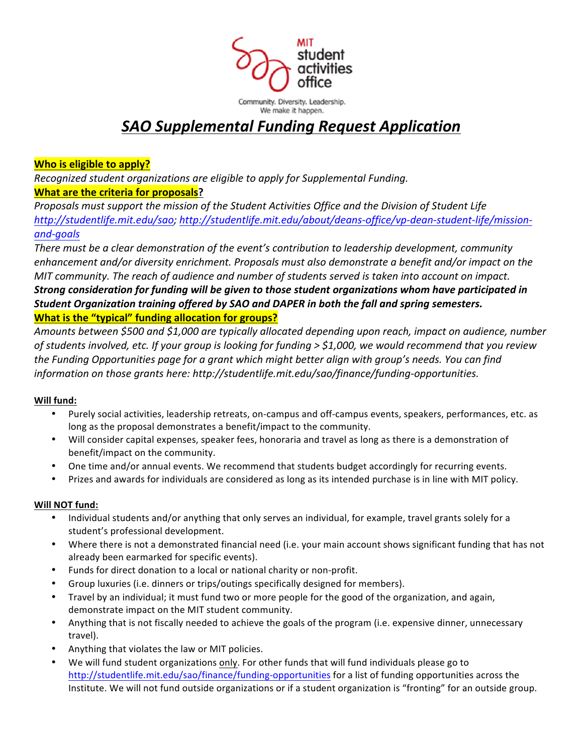

# *SAO!Supplemental!Funding!Request!Application*

## **Who is eligible to apply?**

*Recognized student\*organizations are\*eligible\*to\*apply\*for\*Supplemental\*Funding.\**

## **What are the criteria for proposals?**

Proposals must support the mission of the Student Activities Office and the Division of Student Life http://studentlife.mit.edu/sao; http://studentlife.mit.edu/about/deans-office/vp-dean-student-life/missionand-goals

*There\*must\*be\*a\*clear\*demonstration\*of\*the\*event's\*contribution\*to\*leadership\*development,\*community\* enhancement\*and/or\*diversity\*enrichment.\*Proposals\*must also\*demonstrate\*a\*benefit\*and/or impact\*on\*the\* MIT* community. The reach of audience and number of students served is taken into account on impact. *Strong consideration for funding will be given to those student organizations whom have participated in Student Organization training offered by SAO and DAPER in both the fall and spring semesters.* **What is the "typical" funding allocation for groups?** 

*Amounts\*between\*\$500\*and\*\$1,000\*are\*typically\*allocated depending\*upon\*reach,\*impact\*on\*audience,\*number\* of\*students\*involved,\*etc.\*If\*your\*group\*is looking\*for\*funding\*> \$1,000,\*we\*would\*recommend\*that\*you\*review\** the Funding Opportunities page for a grant which might better align with group's needs. You can find *information on those grants here: http://studentlife.mit.edu/sao/finance/funding-opportunities.* 

### **Will fund:**

- Purely social activities, leadership retreats, on-campus and off-campus events, speakers, performances, etc. as long as the proposal demonstrates a benefit/impact to the community.
- Will consider capital expenses, speaker fees, honoraria and travel as long as there is a demonstration of benefit/impact on the community.
- One time and/or annual events. We recommend that students budget accordingly for recurring events.
- Prizes and awards for individuals are considered as long as its intended purchase is in line with MIT policy.

### **Will\$NOT fund:**

- Individual students and/or anything that only serves an individual, for example, travel grants solely for a student's professional development.
- Where there is not a demonstrated financial need (i.e. your main account shows significant funding that has not already been earmarked for specific events).
- Funds for direct donation to a local or national charity or non-profit.
- Group luxuries (i.e. dinners or trips/outings specifically designed for members).
- Travel by an individual; it must fund two or more people for the good of the organization, and again, demonstrate impact on the MIT student community.
- Anything that is not fiscally needed to achieve the goals of the program (i.e. expensive dinner, unnecessary travel).
- Anything that violates the law or MIT policies.
- We will fund student organizations only. For other funds that will fund individuals please go to http://studentlife.mit.edu/sao/finance/funding-opportunities for a list of funding opportunities across the Institute. We will not fund outside organizations or if a student organization is "fronting" for an outside group.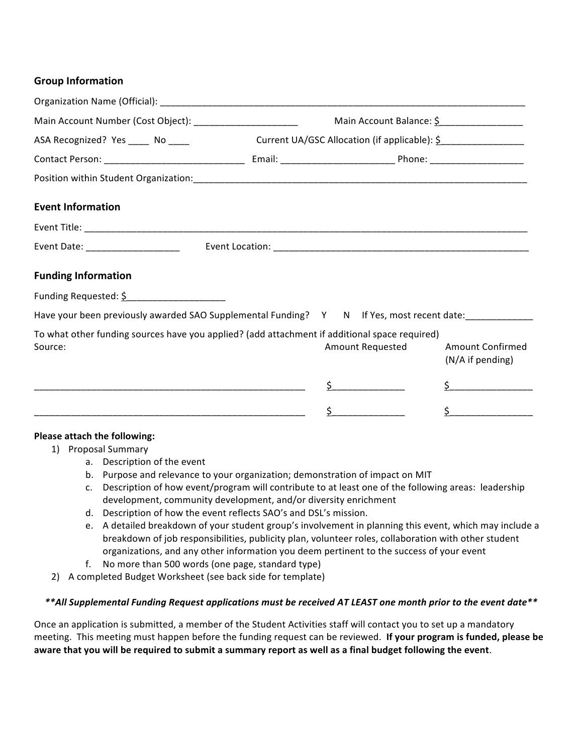#### **Group Information**

| Main Account Number (Cost Object): ________________________                                                           | Main Account Balance: \$                      |                  |                                      |  |  |
|-----------------------------------------------------------------------------------------------------------------------|-----------------------------------------------|------------------|--------------------------------------|--|--|
| ASA Recognized? Yes _____ No ____                                                                                     | Current UA/GSC Allocation (if applicable): \$ |                  |                                      |  |  |
|                                                                                                                       |                                               |                  |                                      |  |  |
|                                                                                                                       |                                               |                  |                                      |  |  |
| <b>Event Information</b>                                                                                              |                                               |                  |                                      |  |  |
|                                                                                                                       |                                               |                  |                                      |  |  |
| Event Date: _______________________                                                                                   |                                               |                  |                                      |  |  |
| <b>Funding Information</b>                                                                                            |                                               |                  |                                      |  |  |
| Funding Requested: \$______________________                                                                           |                                               |                  |                                      |  |  |
| Have your been previously awarded SAO Supplemental Funding? Y N If Yes, most recent date:___________                  |                                               |                  |                                      |  |  |
| To what other funding sources have you applied? (add attachment if additional space required)<br>Source:              |                                               | Amount Requested | Amount Confirmed<br>(N/A if pending) |  |  |
| <u> Listen de la contrada de la contrada de la contrada de la contrada de la contrada de la contrada de la contra</u> |                                               |                  | $\zeta$                              |  |  |
|                                                                                                                       |                                               | $\sharp$         | $\zeta$                              |  |  |
|                                                                                                                       |                                               |                  |                                      |  |  |

#### **Please attach the following:**

- 1) Proposal Summary
	- a. Description of the event
	- b. Purpose and relevance to your organization; demonstration of impact on MIT
	- c. Description of how event/program will contribute to at least one of the following areas: leadership development, community development, and/or diversity enrichment
	- d. Description of how the event reflects SAO's and DSL's mission.
	- e. A detailed breakdown of your student group's involvement in planning this event, which may include a breakdown of job responsibilities, publicity plan, volunteer roles, collaboration with other student organizations, and any other information you deem pertinent to the success of your event
	- f. No more than 500 words (one page, standard type)
- 2) A completed Budget Worksheet (see back side for template)

#### *\*\*All!Supplemental!Funding!Request!applications!must!be!received!AT!LEAST!one month!prior!to!the!event!date\*\**

Once an application is submitted, a member of the Student Activities staff will contact you to set up a mandatory meeting. This meeting must happen before the funding request can be reviewed. If your program is funded, please be aware that you will be required to submit a summary report as well as a final budget following the event.